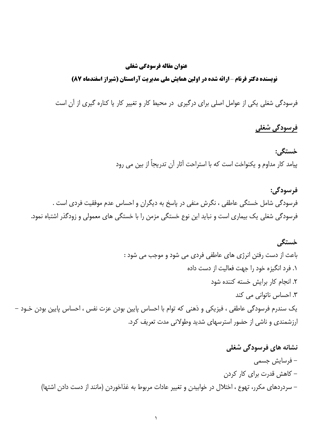#### عنوان مقاله فرسودگي شغلي

#### نویسنده دکتر فرنام -ارائه شده در اولین همایش ملی مدیریت آرامستان (شیراز اسفندماه 87)

فرسودگی شغلی یکی از عوامل اصلی برای درگیری در محیط کار و تغییر کار یا کناره گیری از آن است

### فرسودگی شغلی

#### خستگي:

پیامد کار مداوم و یکنواخت است که با استراحت آثار آن تدریجاً از بین می رود

فرسودگي: فرسودگی شامل خستگی عاطفی ، نگرش منفی در پاسخ به دیگران و احساس عدم موفقیت فردی است . فرسودگی شغلی یک بیماری است و نباید این نوع خستگی مزمن را با خستگی های معمولی و زودگذر اشتباه نمود.

#### خستگی

باعث از دست رفتن انرژی های عاطفی فردی می شود و موجب می شود : ۰. فرد انگیزه خود را جهت فعالیت از دست داده ٢. انجام كار برايش خسته كننده شود ۳. احساس ناتوانی می کند یک سندرم فرسودگی عاطفی ، فیزیکی و ذهنی که توام با احساس پایین بودن عزت نفس ، احساس پایین بودن خـود – ارزشمندی و ناشی از حضور استرسهای شدید وطولانی مدت تعریف کرد.

نشانه های فرسودگی شغلی – فرسايش جسمي – کاهش قدرت برای کار کردن – سردردهای مکرر، تهوع ، اختلال در خوابیدن و تغییر عادات مربوط به غذاخوردن (مانند از دست دادن اشتها)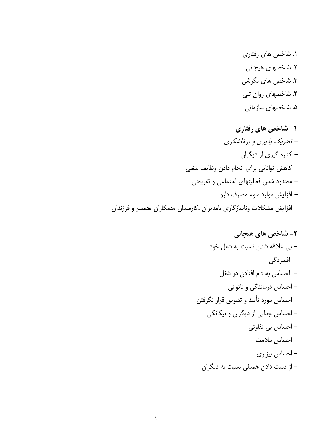۰. شاخص های رفتاری ۲. شاخصها*ی* هیجانی ۳. شاخص ها*ی* نگرشی ۴. شاخصهای روان تنی ۵. شاخصها*ی* سازمانی

**۱- شاخص های رفتاری** – تحریک پذیری و پرخاشگری – کناره گیری از دیگران – كاهش توانايي براى انجام دادن وظايف شغلي – محدود شدن فعالیتهای اجتماعی و تفریحی – افزایش موارد سوء مصرف دارو – افزایش مشکلات وناسازگاری بامدیران ،کارمندان ،همکاران ،همسر و فرزندان

**-** ,+:05#+TX P  0 P -\*
 +/-0) P 5
"-5#5- /-0) P %\*15
Tcb"#d" /-0) P 15-1
1 

#C/-0) P "-3"/-0) P X/-0) P ?/-0) P 1 +:05<#9> 
 P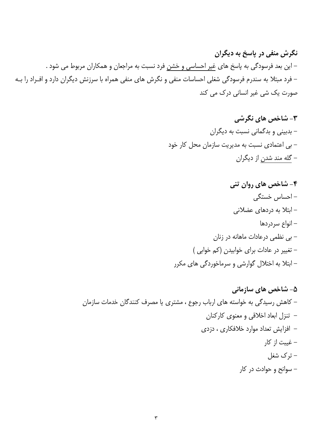نگرش منفی در پاسخ به دیگران – این بعد فرسودگی به پاسخ های غیر احساسی و خشنِ فرد نسبت به مراجعان و همکاران مربوط می شود . – فرد مبتلا به سندرم فرسودگی شغلی احساسات منفی و نگرش های منفی همراه با سرزنش دیگران دارد و افـراد را بـه صورت یک شی غیر انسانی درک می کند

> ۳- شاخص های نگرشی – بدبینی و بدگمانی نسبت به دیگران – بی اعتمادی نسبت به مدیریت سازمان محل کار خود – گله مند شدن از دیگران

۴- شاخص های روان تنی – احساس خستگی – ابتلا به دردهای عضلانی – انواع سردردها - بی نظمی درعادات ماهانه در زنان - تغییر در عادات برای خوابیدن (کم خوابی ) – ابتلا به اختلال گوارشی و سرماخوردگی های مکرر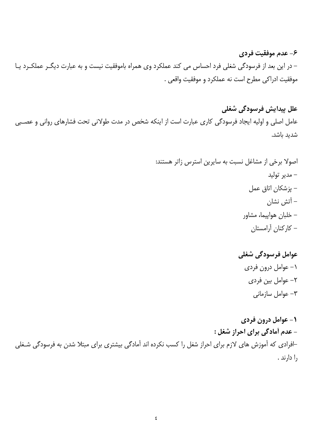# ۶- عدم موفقیت فردی

– در این بعد از فرسودگی شغلی فرد احساس می کند عملکرد وی همراه باموفقیت نیست و به عبارت دیگر عملکرد یا موفقيت ادراكي مطرح است نه عملكرد و موفقيت واقعي .

علل پیدایش فرسودگی شغلی عامل اصلی و اولیه ایجاد فرسودگی کاری عبارت است از اینکه شخص در مدت طولانی تحت فشارهای روانی و عصـبی شدید باشد.

عوامل فرسودگی شغلی ۱– عوامل درون فردي ٢- عوامل بين فردي ٣- عوامل سازماني

۱- عوامل درون فردی - عدم آمادگی برای احراز شغل : ⊣فرادی که آموزش های لازم برای احراز شغل را کسب نکرده اند آمادگی بیشتری برای مبتلا شدن به فرسودگی شـغلی , ا دارند .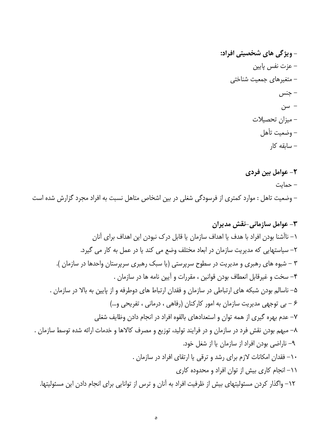# ٢- عوامل بين فردي

– حمایت – وضعیت تاهل : موارد کمتری از فرسودگی شغلی در بین اشخاص متاهل نسبت به افراد مجرد گزارش شده است

۳- عوامل سازمانی-نقش مدیران ١– ناآشنا بودن افراد با هدف يا اهداف سازمان يا قابل درك نبودن اين اهداف براي آنان ٢– سياستهايي كه مديريت سازمان در ابعاد مختلف وضع مي كند يا در عمل به كار مي گيرد. ۳ – شیوه های رهبری و مدیریت در سطوح سرپرستی (یا سبک رهبری سرپرستان واحدها در سازمان ). ۴- سخت و غیرقابل انعطاف بودن قوانین ، مقررات و آیین نامه ها در سازمان . ۵– ناسالم بودن شبکه های ارتباطی در سازمان و فقدان ارتباط های دوطرفه و از پایین به بالا در سازمان . ۶ – بی توجهی مدیریت سازمان به امور کارکنان (رفاهی ، درمانی ، تفریحی و…) ٧– عدم بهره گيري از همه توان و استعدادهاي بالقوه افراد در انجام دادن وظايف شغلي ٨– مبهم بودن نقش فرد در سازمان و در فرايند توليد، توزيع و مصرف كالاها و خدمات ارائه شده توسط سازمان . ۹- ناراضی بودن افراد از سازمان یا از شغل خود. ۱۰– فقدان امکانات لازم برای رشد و ترقی یا ارتقای افراد در سازمان . 11- انجام کاری بیش از توان افراد و محدوده کاری ١٢– واگذار كردن مسئوليتهاى بيش از ظرفيت افراد به آنان و ترس از توانايى براى انجام دادن اين مسئوليتها.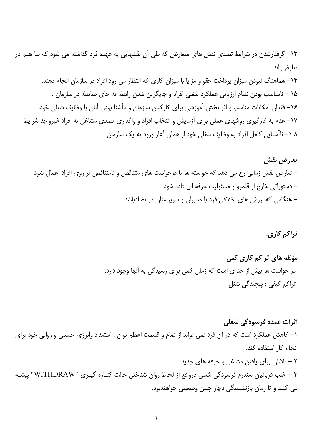۱۳– گرفتارشدن در شرایط تصدی نقش های متعارض که طی آن نقشهایی به عهده فرد گذاشته می شود که بـا هــم در تعارض اند.

۱۴– هماهنگ نبودن میزان پرداخت حقوٍ و مزایا با میزان کاری که انتظار می رود افراد در سازمان انجام دهند. ۱۵ – نامناسب بودن نظام ارزیابی عملکرد شغلی افراد و جایگزین شدن رابطه به جای ضابطه در سازمان . ۱۶– فقدان امکانات مناسب و اثر بخش آموزشی برای کارکنان سازمان و ناآشنا بودن آنان با وظایف شغلی خود. ١٧– عدم به كارگيرى روشهاى عملى براى آزمايش و انتخاب افراد و واگذارى تصدى مشاغل به افراد غيرواجد شرايط . ۸ ۱– ناآشنایی کامل افراد به وظایف شغلی خود از همان آغاز ورود به یک سازمان

تعارض نقش – تعارض نقش زمانی رخ می دهد که خواسته ها یا درخواست های متناقض و نامتناقض بر روی افراد اعمال شود – دستوراتی خارج از قلمرو و مسئولیت حرفه ای داده شود – هنگامی که ارزش های اخلاقی فرد با مدیران و سرپرستان در تضادباشد.

تراكم كاري:

مؤلفه های تراکم کاری کمی در خواست ها بیش از حد ی است که زمان کمی برای رسیدگی به آنها وجود دارد. تراکم کیفی : پیچیدگی شغل

اثرات عمده فرسودگی شغلی ١– كاهش عملكرد است كه در آن فرد نمى تواند از تمام و قسمت اعظم توان ، استعداد وانرژى جسمى و روانى خود براى انجام كار استفاده كند. ۲ – تلاش برای یافتن مشاغل و حرفه های جدید ۳ – اغلب قربانیان سندرم فرسودگی شغلی درواقع از لحاظ روان شناختی حالت کنـاره گیـری "WITHDRAW" پیشـه می کنند و تا زمان بازنشستگی دچار چنین وضعیتی خواهندبود.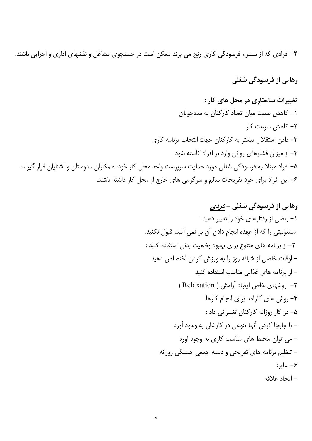۴– افرادی که از سندرم فرسودگی کاری رنج می برند ممکن است در جستجوی مشاغل و نقشهای اداری و اجرایی باشند.

رهایی از فرسودگی شغلی

تغییرات ساختاری در محل های کار : ١- كاهش نسبت ميان تعداد كاركنان به مددجويان ٢– كاهش سرعت كار ٣- دادن استقلال بیشتر به كاركنان جهت انتخاب برنامه كاری ۴- از میزان فشارهای روانی وارد بر افراد کاسته شود ۵– افراد مبتلا به فرسودگی شغلی مورد حمایت سرپرست واحد محل کار خود، همکاران ، دوستان و آشنایان قرار گیرند، ۶– این افراد برای خود تفریحات سالم و سرگرمی های خارج از محل کار داشته باشند.

> رهایی از فرسودگی شغلی -*فردی* ۱– بعضی از رفتارهای خود را تغییر دهید : مسئولیتی را که از عهده انجام دادن آن بر نمی آیید، قبول نکنید. ٢- از برنامه های متنوع برای بهبود وضعیت بدنی استفاده کنید : – اوقات خاصی از شبانه روز را به ورزش کردن اختصاص دهید – از برنامه های غذایی مناسب استفاده کنید ٣- روشهای خاص ایجاد آرامش ( Relaxation ) ۴- روش های کارآمد برای انجام کارها ۵- در کار روزانه کارکنان تغییراتی داد : – با جابجا كردن آنها تنوعي در كارشان به وجود آورد - می توان محیط های مناسب کاری به وجود آورد – تنظیم برنامه های تفریحی و دسته جمعی خستگی روزانه ۶– سایر: – ابحاد علاقه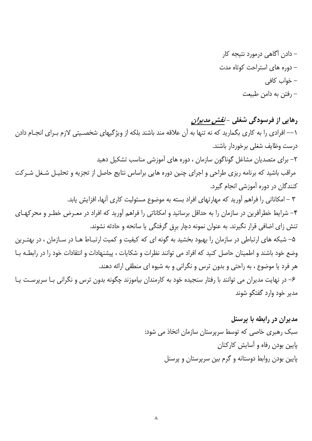رهایی از فرسودگی شغلی - *نقش مدیران* ١–– افرادي را به كاري بگماريد كه نه تنها به آن علاقه مند باشند بلكه از ويژگيهاي شخصـيتي لازم بـراي انجـام دادن درست وظایف شغلی برخوردار باشند. ۲– برای متصدیان مشاغل گوناگون سازمان ، دوره های آموزشی مناسب تشکیل دهید مراقب باشید که برنامه ریزی طراحی و اجرای چنین دوره هایی براساس نتایج حاصل از تجزیه و تحلیـل شـغل شـرکت کنندگان در دوره آموزشی انجام گیرد. ٣ – امكاناتي را فراهم آوريد كه مهارتهاي افراد بسته به موضوع مسئوليت كاري آنها، افزايش يابد. ۴– شرایط خطرآفرین در سازمان را به حداقل برسانید و امکاناتی را فراهم آورید که افراد در معـرض خطـر و محرکهـای تنش زای اضافی قرار نگیرند. به عنوان نمونه دچار برق گرفتگی یا سانحه و حادثه نشوند. ۵– شبکه های ارتباطی در سازمان را بهبود بخشید به گونه ای که کیفیت و کمیت ارتبـاط هـا در سـازمان ، در بهتـرین وضع خود باشند و اطمینان حاصل کنید که افراد می توانند نظرات و شکایات ، پیشنهادات و انتقادات خود را در رابطـه بـا هر فرد یا موضوع ، به راحتی و بدون ترس و نگرانی و به شیوه ای منطقی ارائه دهند. ۶– در نهایت مدیران می توانند با رفتار سنجیده خود به کارمندان بیاموزند چگونه بدون ترس و نگرانی بـا سرپرسـت یـا مدير خود وارد گفتگو شوند

> مدیران در رابطه با پرسنل سبک رهبری خاصی که توسط سرپرستان سازمان اتخاذ می شود: پایین بودن رفاه و آسایش کارکنان پایین بودن روابط دوستانه و گرم بین سرپرستان و پرسنل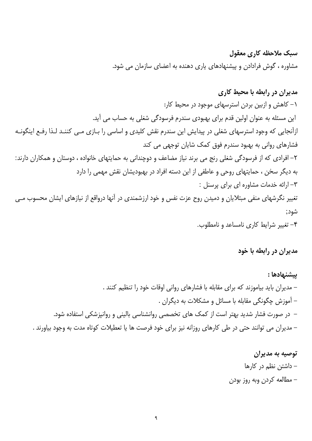## سبک ملاحظه کاری معقول

مشاوره ، گوش فرادادن و پیشنهادهای پاری دهنده به اعضای سازمان می شود.

مدیران در رابطه با محیط کاری

١- كاهش و ازبين بردن استرسهاى موجود در محيط كار: این مسئله به عنوان اولین قدم برای بهبودی سندرم فرسودگی شغلی به حساب می آید. ازآنجایی که وجود استرسهای شغلی در پیدایش این سندرم نقش کلیدی و اساسی را بـازی مـی کننـد لـذا رفـع اینگونـه فشارهای روانی به بهبود سندرم فوق کمک شایان توجهی می کند ۲– افرادی که از فرسودگی شغلی رنج می برند نیاز مضاعف و دوچندانی به حمایتهای خانواده ، دوستان و همکاران دارند: به دیگر سخن ، حمایتهای روحی و عاطفی از این دسته افراد در بهبودیشان نقش مهمی را دارد ٣- ارائه خدمات مشاوره ای برای پرسنل : تغییر نگرشهای منفی مبتلایان و دمیدن روح عزت نفس و خود ارزشمندی در آنها درواقع از نیازهای ایشان محسوب مـی شود; ۴- تغییر شرایط کاری نامساعد و نامطلوب.

مدیران در رابطه با خود

بيشنهادها : – مدیران باید بیاموزند که برای مقابله با فشارهای روانی اوقات خود را تنظیم کنند . – آموزش چگونگی مقابله با مسائل و مشکلات به دیگران . – در صورت فشار شدید بهتر است از کمک های تخصصی روانشناسی بالینی و روانپزشکی استفاده شود. – مدیران می توانند حتی در طی کارهای روزانه نیز برای خود فرصت ها یا تعطیلات کوتاه مدت به وجود بیاورند .

# توصيه به مديران – داشتن نظم در کارها – مطالعه كردن وبه روز بودن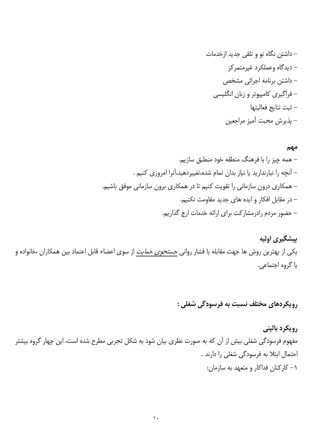مهم

پیشگیری اولیه یکی از بهترین روش ها جهت مقابله با فشار روانی <u>جس*تجوی حمایت*</u> از سوی اعضاء قابل اعتماد بین همکاران ،خانواده و يا گروه اجتماعي.

رویکردهای مختلف نسبت به فرسودگی شغلی :

رويكرد باليني مفهوم فرسودگی شغلی بیش از آن که به صورت نظری بیان شود به شکل تجربی مطرح شده است، این چهار گروه بیشتر احتمال ابتلا به فرسودگی شغلی را دارند . ١- كاركنان فداكار و متعهد به سازمان: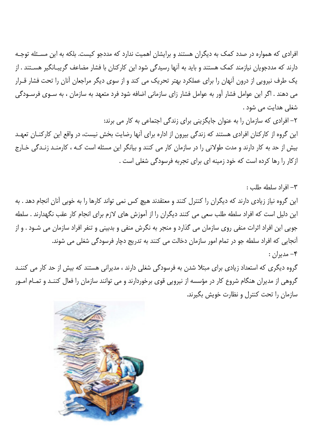افرادی که همواره در صدد کمک به دیگران هستند و برایشان اهمیت ندارد که مددجو کیست. بلکه به این مسئله توجـه دارند که مددجویان نیازمند کمک هستند و باید به آنها رسیدگی شود این کارکنان با فشار مضاعف گریبـانگیر هسـتند . از یک طرف نیرویی از درون آنهان را برای عملکرد بهتر تحریک می کند و از سوی دیگر مراجعان آنان را تحت فشار قـرار می دهند . اگر این عوامل فشار آور به عوامل فشار زای سازمانی اضافه شود فرد متعهد به سازمان ، به سـوی فرسـودگی شغلي هدايت مي شود .

۲– افرادی که سازمان را به عنوان جایگزینی برای زندگی اجتماعی به کار می برند: این گروه از کارکنان افرادی هستند که زندگی بیرون از اداره برای آنها رضایت بخش نیست، در واقع این کارکنـان تعهـد بیش از حد به کار دارند و مدت طولانی را در سازمان کار می کنند و بیانگر این مسئله است کـه ، کارمنـد زنـدگی خـارج ازکار را رها کرده است که خود زمینه ای برای تجربه فرسودگی شغلی است .

٣- افراد سلطه طلب : این گروه نیاز زیادی دارند که دیگران را کنترل کنند و معتقدند هیچ کس نمی تواند کارها را به خوبی آنان انجام دهد . به این دلیل است که افراد سلطه طلب سعی می کنند دیگران را از آموزش های لازم برای انجام کار عقب نگهدارند . سلطه جویی این افراد اثرات منفی روی سازمان می گذارد و منجر به نگرش منفی و بدبینی و تنفر افراد سازمان می شـود . و از آنجایی که افراد سلطه جو در تمام امور سازمان دخالت می کنند به تدریج دچار فرسودگی شغلی می شوند.  $-\mathbf{e}$ مديران :

گروه دیگری که استعداد زیادی برای مبتلا شدن به فرسودگی شغلی دارند ، مدیرانی هستند که بیش از حد کار می کننـد گروهی از مدیران هنگام شروع کار در مؤسسه از نیرویی قوی برخوردارند و می توانند سازمان را فعال کننـد و تمـام امـور سازمان را تحت كنترل و نظارت خويش بگيرند.